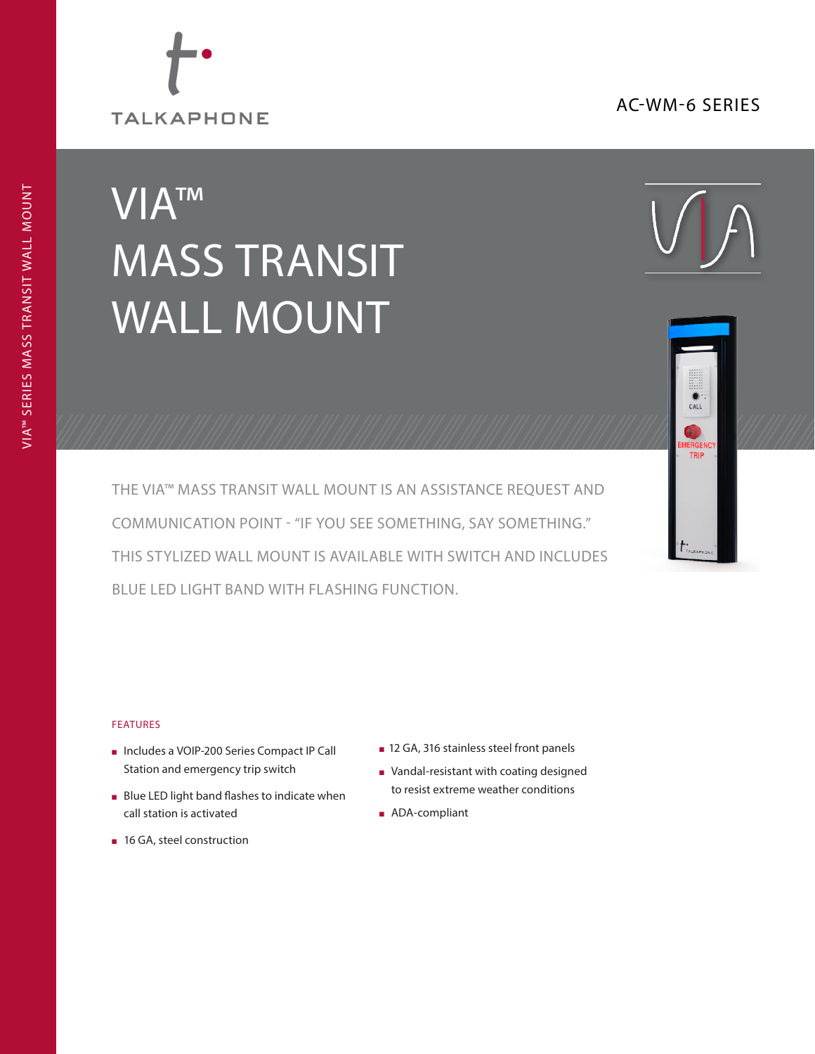## AC-WM-6 SERIES



# VIA™ MASS TRANSIT WALL MOUNT





THE VIA™ MASS TRANSIT WALL MOUNT IS AN ASSISTANCE REQUEST AND COMMUNICATION POINT - "IF YOU SEE SOMETHING, SAY SOMETHING." THIS STYLIZED WALL MOUNT IS AVAILABLE WITH SWITCH AND INCLUDES BLUE LED LIGHT BAND WITH FLASHING FUNCTION.

#### FEATURES

- <sup>n</sup> Includes a VOIP-200 Series Compact IP Call Station and emergency trip switch
- **Blue LED light band flashes to indicate when** call station is activated
- 16 GA, steel construction
- 12 GA, 316 stainless steel front panels
- <sup>n</sup> Vandal-resistant with coating designed to resist extreme weather conditions
- **n** ADA-compliant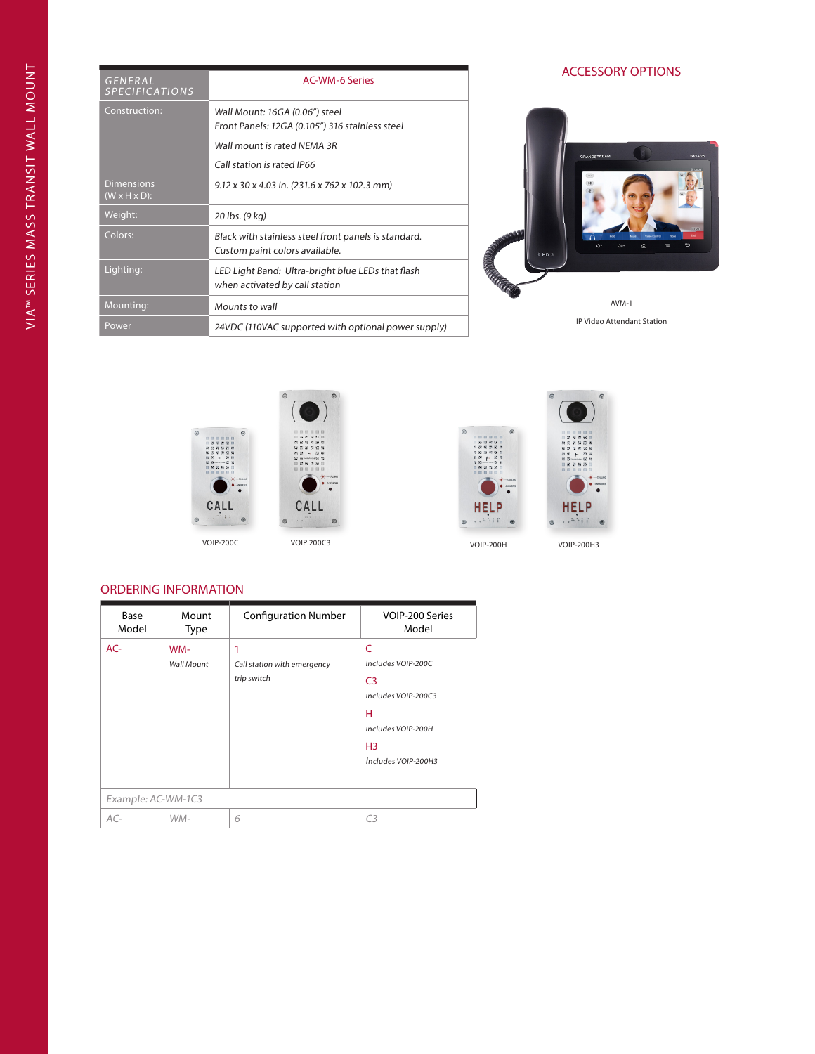| <b>GENERAL</b><br><b>SPECIFICATIONS</b>        | <b>AC-WM-6 Series</b>                                                                  |  |  |
|------------------------------------------------|----------------------------------------------------------------------------------------|--|--|
| Construction:                                  | Wall Mount: 16GA (0.06") steel<br>Front Panels: 12GA (0.105") 316 stainless steel      |  |  |
|                                                |                                                                                        |  |  |
|                                                | Wall mount is rated NFMA 3R                                                            |  |  |
|                                                | Call station is rated IP66                                                             |  |  |
| <b>Dimensions</b><br>$(W \times H \times D)$ : | $9.12 \times 30 \times 4.03$ in. (231.6 x 762 x 102.3 mm)                              |  |  |
| Weight:                                        | 20 lbs. (9 kg)                                                                         |  |  |
| Colors:                                        | Black with stainless steel front panels is standard.<br>Custom paint colors available. |  |  |
| Lighting:                                      | LED Light Band: Ultra-bright blue LEDs that flash<br>when activated by call station    |  |  |
| Mounting:                                      | Mounts to wall                                                                         |  |  |
| Power                                          | 24VDC (110VAC supported with optional power supply)                                    |  |  |

## ACCESSORY OPTIONS



IP Video Attendant Station









### ORDERING INFORMATION

| Base<br>Model      | Mount<br>Type            | <b>Configuration Number</b>                     | VOIP-200 Series<br>Model                                                                                                             |
|--------------------|--------------------------|-------------------------------------------------|--------------------------------------------------------------------------------------------------------------------------------------|
| $AC-$              | WM-<br><b>Wall Mount</b> | 1<br>Call station with emergency<br>trip switch | C<br>Includes VOIP-200C<br>C <sub>3</sub><br>Includes VOIP-200C3<br>н<br>Includes VOIP-200H<br>H <sub>3</sub><br>Includes VOIP-200H3 |
| Example: AC-WM-1C3 |                          |                                                 |                                                                                                                                      |
| $AC-$              | $WM-$                    | 6                                               | C <sub>3</sub>                                                                                                                       |